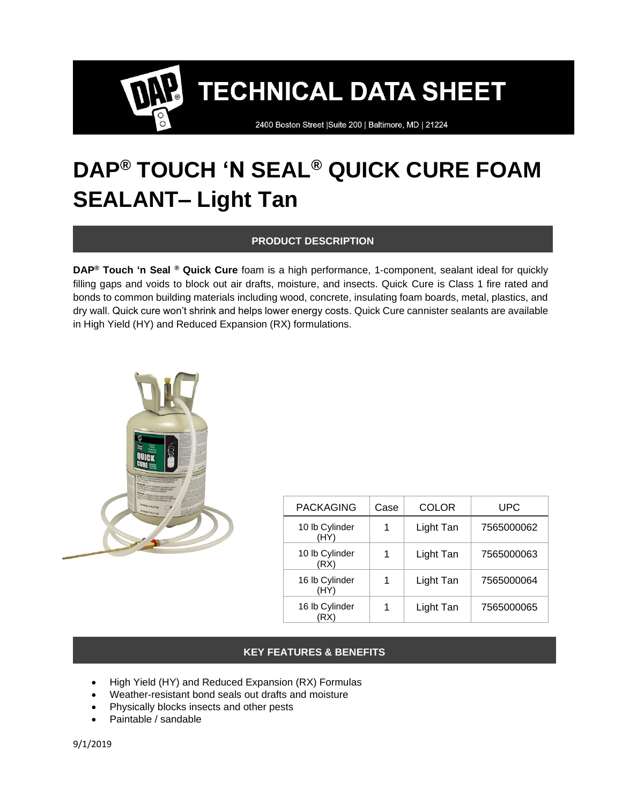2400 Boston Street | Suite 200 | Baltimore, MD | 21224

### **DAP® TOUCH 'N SEAL® QUICK CURE FOAM SEALANT– Light Tan**

#### **PRODUCT DESCRIPTION**

**DAP® Touch 'n Seal ® Quick Cure** foam is a high performance, 1-component, sealant ideal for quickly filling gaps and voids to block out air drafts, moisture, and insects. Quick Cure is Class 1 fire rated and bonds to common building materials including wood, concrete, insulating foam boards, metal, plastics, and dry wall. Quick cure won't shrink and helps lower energy costs. Quick Cure cannister sealants are available in High Yield (HY) and Reduced Expansion (RX) formulations.



| <b>PACKAGING</b>       | Case | <b>COLOR</b> | <b>UPC</b> |
|------------------------|------|--------------|------------|
| 10 lb Cylinder<br>(HY) |      | Light Tan    | 7565000062 |
| 10 lb Cylinder<br>(RX) |      | Light Tan    | 7565000063 |
| 16 lb Cylinder<br>(HY) |      | Light Tan    | 7565000064 |
| 16 lb Cylinder         |      | Light Tan    | 7565000065 |

#### **KEY FEATURES & BENEFITS**

- High Yield (HY) and Reduced Expansion (RX) Formulas
- Weather-resistant bond seals out drafts and moisture
- Physically blocks insects and other pests
- Paintable / sandable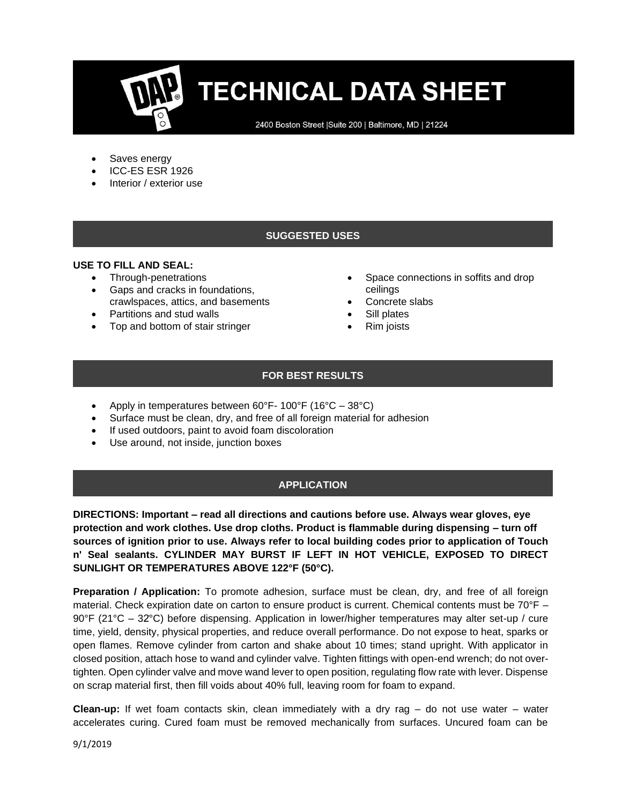2400 Boston Street | Suite 200 | Baltimore, MD | 21224

- Saves energy
- ICC-ES ESR 1926
- Interior / exterior use

#### **SUGGESTED USES**

#### **USE TO FILL AND SEAL:**

- Through-penetrations
- Gaps and cracks in foundations, crawlspaces, attics, and basements
- Partitions and stud walls
- Top and bottom of stair stringer
- Space connections in soffits and drop ceilings
- Concrete slabs
- Sill plates
- Rim joists

#### **FOR BEST RESULTS**

- Apply in temperatures between 60°F- 100°F (16°C 38°C)
- Surface must be clean, dry, and free of all foreign material for adhesion
- If used outdoors, paint to avoid foam discoloration
- Use around, not inside, junction boxes

#### **APPLICATION**

**DIRECTIONS: Important – read all directions and cautions before use. Always wear gloves, eye protection and work clothes. Use drop cloths. Product is flammable during dispensing – turn off sources of ignition prior to use. Always refer to local building codes prior to application of Touch n' Seal sealants. CYLINDER MAY BURST IF LEFT IN HOT VEHICLE, EXPOSED TO DIRECT SUNLIGHT OR TEMPERATURES ABOVE 122°F (50°C).**

**Preparation / Application:** To promote adhesion, surface must be clean, dry, and free of all foreign material. Check expiration date on carton to ensure product is current. Chemical contents must be 70°F – 90°F (21°C – 32ׄ°C) before dispensing. Application in lower/higher temperatures may alter set-up / cure time, yield, density, physical properties, and reduce overall performance. Do not expose to heat, sparks or open flames. Remove cylinder from carton and shake about 10 times; stand upright. With applicator in closed position, attach hose to wand and cylinder valve. Tighten fittings with open-end wrench; do not overtighten. Open cylinder valve and move wand lever to open position, regulating flow rate with lever. Dispense on scrap material first, then fill voids about 40% full, leaving room for foam to expand.

**Clean-up:** If wet foam contacts skin, clean immediately with a dry rag – do not use water – water accelerates curing. Cured foam must be removed mechanically from surfaces. Uncured foam can be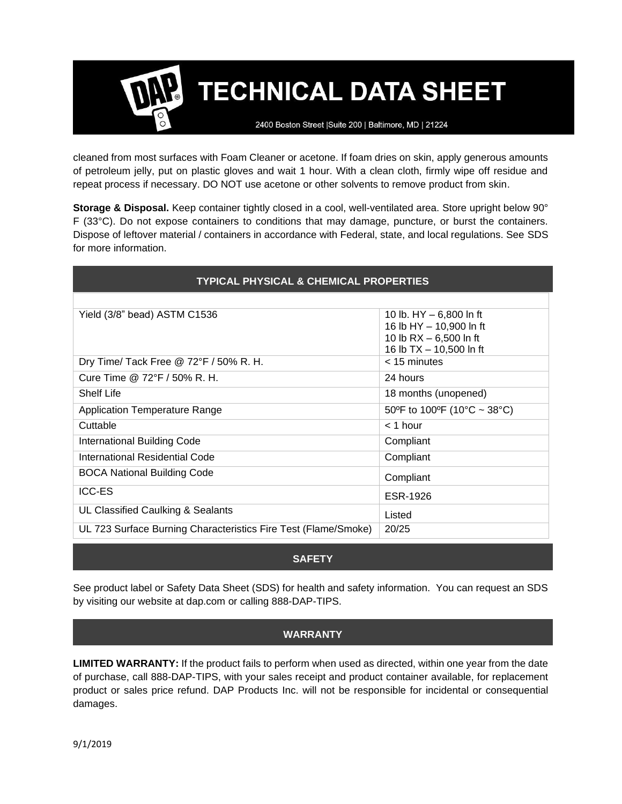2400 Boston Street | Suite 200 | Baltimore, MD | 21224

cleaned from most surfaces with Foam Cleaner or acetone. If foam dries on skin, apply generous amounts of petroleum jelly, put on plastic gloves and wait 1 hour. With a clean cloth, firmly wipe off residue and repeat process if necessary. DO NOT use acetone or other solvents to remove product from skin.

**Storage & Disposal.** Keep container tightly closed in a cool, well-ventilated area. Store upright below 90° F (33°C). Do not expose containers to conditions that may damage, puncture, or burst the containers. Dispose of leftover material / containers in accordance with Federal, state, and local regulations. See SDS for more information.

| <b>TYPICAL PHYSICAL &amp; CHEMICAL PROPERTIES</b>              |                                                      |  |  |  |
|----------------------------------------------------------------|------------------------------------------------------|--|--|--|
|                                                                |                                                      |  |  |  |
| Yield (3/8" bead) ASTM C1536                                   | 10 lb. $HY - 6,800$ ln ft<br>16 lb HY - 10,900 ln ft |  |  |  |
|                                                                | 10 lb $RX - 6,500$ ln ft                             |  |  |  |
|                                                                | 16 lb TX - 10,500 ln ft                              |  |  |  |
| Dry Time/ Tack Free @ 72°F / 50% R. H.                         | $<$ 15 minutes                                       |  |  |  |
| Cure Time @ 72°F / 50% R. H.                                   | 24 hours                                             |  |  |  |
| <b>Shelf Life</b>                                              | 18 months (unopened)                                 |  |  |  |
| <b>Application Temperature Range</b>                           | 50°F to 100°F (10°C ~ 38°C)                          |  |  |  |
| Cuttable                                                       | $<$ 1 hour                                           |  |  |  |
| International Building Code                                    | Compliant                                            |  |  |  |
| International Residential Code                                 | Compliant                                            |  |  |  |
| <b>BOCA National Building Code</b>                             | Compliant                                            |  |  |  |
| <b>ICC-ES</b>                                                  | ESR-1926                                             |  |  |  |
| UL Classified Caulking & Sealants                              | Listed                                               |  |  |  |
| UL 723 Surface Burning Characteristics Fire Test (Flame/Smoke) | 20/25                                                |  |  |  |

#### **SAFETY**

See product label or Safety Data Sheet (SDS) for health and safety information. You can request an SDS by visiting our website at dap.com or calling 888-DAP-TIPS.

#### **WARRANTY**

**LIMITED WARRANTY:** If the product fails to perform when used as directed, within one year from the date of purchase, call 888-DAP-TIPS, with your sales receipt and product container available, for replacement product or sales price refund. DAP Products Inc. will not be responsible for incidental or consequential damages.